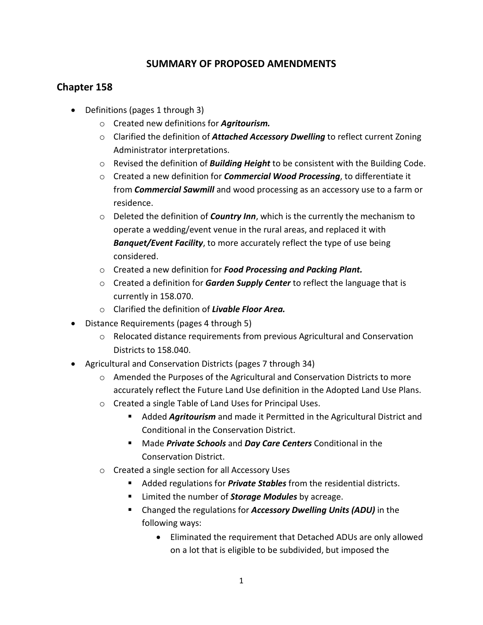## **SUMMARY OF PROPOSED AMENDMENTS**

## **Chapter 158**

- Definitions (pages 1 through 3)
	- o Created new definitions for *Agritourism.*
	- o Clarified the definition of *Attached Accessory Dwelling* to reflect current Zoning Administrator interpretations.
	- o Revised the definition of *Building Height* to be consistent with the Building Code.
	- o Created a new definition for *Commercial Wood Processing*, to differentiate it from *Commercial Sawmill* and wood processing as an accessory use to a farm or residence.
	- o Deleted the definition of *Country Inn*, which is the currently the mechanism to operate a wedding/event venue in the rural areas, and replaced it with *Banquet/Event Facility*, to more accurately reflect the type of use being considered.
	- o Created a new definition for *Food Processing and Packing Plant.*
	- o Created a definition for *Garden Supply Center* to reflect the language that is currently in 158.070.
	- o Clarified the definition of *Livable Floor Area.*
- Distance Requirements (pages 4 through 5)
	- $\circ$  Relocated distance requirements from previous Agricultural and Conservation Districts to 158.040.
- Agricultural and Conservation Districts (pages 7 through 34)
	- o Amended the Purposes of the Agricultural and Conservation Districts to more accurately reflect the Future Land Use definition in the Adopted Land Use Plans.
	- o Created a single Table of Land Uses for Principal Uses.
		- Added *Agritourism* and made it Permitted in the Agricultural District and Conditional in the Conservation District.
		- Made *Private Schools* and *Day Care Centers* Conditional in the Conservation District.
	- o Created a single section for all Accessory Uses
		- Added regulations for *Private Stables* from the residential districts.
		- **EXECUTE:** Limited the number of **Storage Modules** by acreage.
		- Changed the regulations for *Accessory Dwelling Units (ADU)* in the following ways:
			- Eliminated the requirement that Detached ADUs are only allowed on a lot that is eligible to be subdivided, but imposed the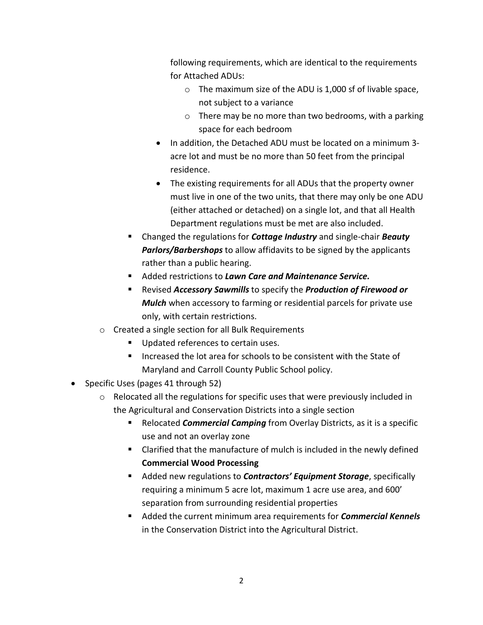following requirements, which are identical to the requirements for Attached ADUs:

- o The maximum size of the ADU is 1,000 sf of livable space, not subject to a variance
- $\circ$  There may be no more than two bedrooms, with a parking space for each bedroom
- In addition, the Detached ADU must be located on a minimum 3 acre lot and must be no more than 50 feet from the principal residence.
- The existing requirements for all ADUs that the property owner must live in one of the two units, that there may only be one ADU (either attached or detached) on a single lot, and that all Health Department regulations must be met are also included.
- Changed the regulations for *Cottage Industry* and single-chair *Beauty Parlors/Barbershops* to allow affidavits to be signed by the applicants rather than a public hearing.
- Added restrictions to *Lawn Care and Maintenance Service.*
- Revised *Accessory Sawmills* to specify the *Production of Firewood or Mulch* when accessory to farming or residential parcels for private use only, with certain restrictions.
- o Created a single section for all Bulk Requirements
	- Updated references to certain uses.
	- **Increased the lot area for schools to be consistent with the State of** Maryland and Carroll County Public School policy.
- Specific Uses (pages 41 through 52)
	- o Relocated all the regulations for specific uses that were previously included in the Agricultural and Conservation Districts into a single section
		- Relocated *Commercial Camping* from Overlay Districts, as it is a specific use and not an overlay zone
		- Clarified that the manufacture of mulch is included in the newly defined **Commercial Wood Processing**
		- Added new regulations to *Contractors' Equipment Storage*, specifically requiring a minimum 5 acre lot, maximum 1 acre use area, and 600' separation from surrounding residential properties
		- Added the current minimum area requirements for *Commercial Kennels* in the Conservation District into the Agricultural District.